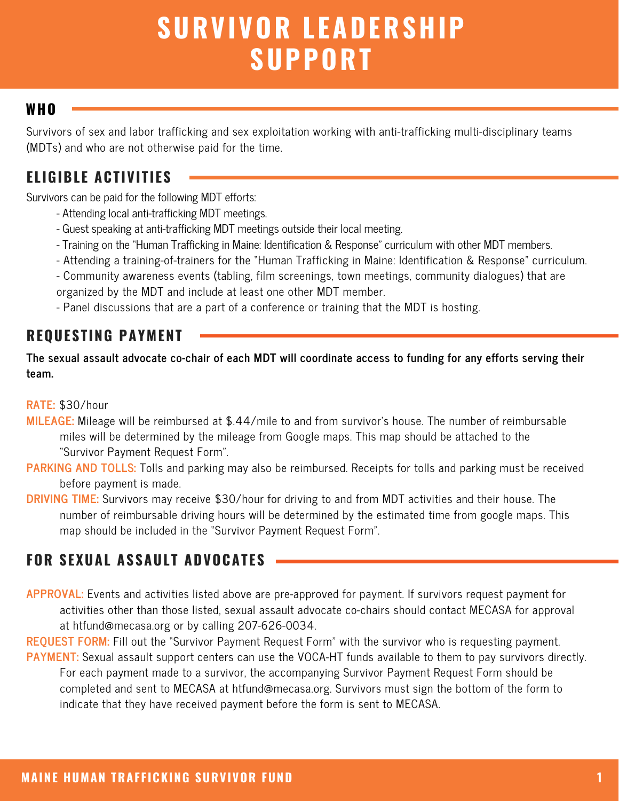# **SURVIVOR LEADERSHIP SUPPORT**

### **WHO**

Survivors of sex and labor trafficking and sex exploitation working with anti-trafficking multi-disciplinary teams (MDTs) and who are not otherwise paid for the time.

# **ELIGIBLE ACTIVITIES**

Survivors can be paid for the following MDT efforts:

- Attending local anti-trafficking MDT meetings.
- Guest speaking at anti-trafficking MDT meetings outside their local meeting.
- Training on the "Human Trafficking in Maine: Identification & Response" curriculum with other MDT members.
- Attending a training-of-trainers for the "Human Trafficking in Maine: Identification & Response" curriculum.
- Community awareness events (tabling, film screenings, town meetings, community dialogues) that are organized by the MDT and include at least one other MDT member.
- Panel discussions that are a part of a conference or training that the MDT is hosting.

## **REQUESTING PAYMENT**

The sexual assault advocate co-chair of each MDT will coordinate access to funding for any efforts serving their **team.**

#### **RATE:** \$30/hour

- **MILEAGE:** Mileage will be reimbursed at \$.44/mile to and from survivor's house. The number of reimbursable miles will be determined by the mileage from Google maps. This map should be attached to the "Survivor Payment Request Form".
- **PARKING AND TOLLS:** Tolls and parking may also be reimbursed. Receipts for tolls and parking must be received before payment is made.
- **DRIVING TIME:** Survivors may receive \$30/hour for driving to and from MDT activities and their house. The number of reimbursable driving hours will be determined by the estimated time from google maps. This map should be included in the "Survivor Payment Request Form".

# **FOR SEXUAL ASSAULT ADVOCATES**

- **APPROVAL:** Events and activities listed above are pre-approved for payment. If survivors request payment for activities other than those listed, sexual assault advocate co-chairs should contact MECASA for approval at htfund@mecasa.org or by calling 207-626-0034.
- **REQUEST FORM:** Fill out the "Survivor Payment Request Form" with the survivor who is requesting payment. **PAYMENT:** Sexual assault support centers can use the VOCA-HT funds available to them to pay survivors directly. For each payment made to a survivor, the accompanying Survivor Payment Request Form should be completed and sent to MECASA at htfund@mecasa.org. Survivors must sign the bottom of the form to indicate that they have received payment before the form is sent to MECASA.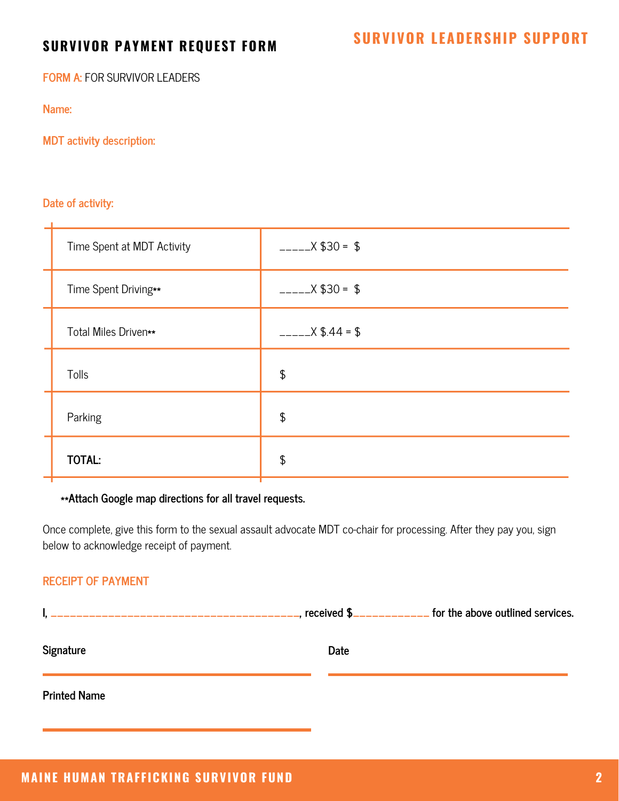**FORM A:** FOR SURVIVOR LEADERS

**Name:**

**MDT activity description:**

#### **Date of activity:**

| Time Spent at MDT Activity | $- X $30 = $$            |
|----------------------------|--------------------------|
| Time Spent Driving**       | $222 - 2 \times $30 = $$ |
| Total Miles Driven**       | $---X $.44 = $$          |
| Tolls                      | \$                       |
| Parking                    | \$                       |
| <b>TOTAL:</b>              | \$                       |

#### **\*\*Attach Google map directions for all travel requests.**

Once complete, give this form to the sexual assault advocate MDT co-chair for processing. After they pay you, sign below to acknowledge receipt of payment.

#### **RECEIPT OF PAYMENT**

|                     | received \$_____________ for the above outlined services. |
|---------------------|-----------------------------------------------------------|
| Signature           | Date                                                      |
| <b>Printed Name</b> |                                                           |